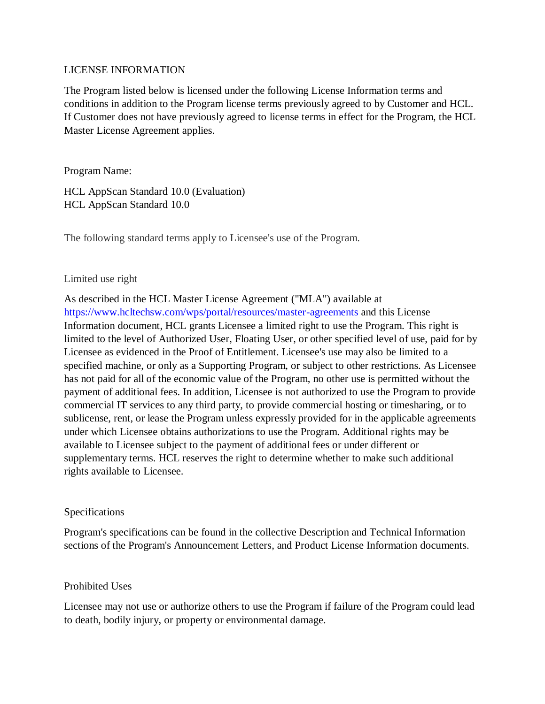#### LICENSE INFORMATION

The Program listed below is licensed under the following License Information terms and conditions in addition to the Program license terms previously agreed to by Customer and HCL. If Customer does not have previously agreed to license terms in effect for the Program, the HCL Master License Agreement applies.

Program Name:

HCL AppScan Standard 10.0 (Evaluation) HCL AppScan Standard 10.0

The following standard terms apply to Licensee's use of the Program.

### Limited use right

As described in the HCL Master License Agreement ("MLA") available at <https://www.hcltechsw.com/wps/portal/resources/master-agreements> and this License Information document, HCL grants Licensee a limited right to use the Program. This right is limited to the level of Authorized User, Floating User, or other specified level of use, paid for by Licensee as evidenced in the Proof of Entitlement. Licensee's use may also be limited to a specified machine, or only as a Supporting Program, or subject to other restrictions. As Licensee has not paid for all of the economic value of the Program, no other use is permitted without the payment of additional fees. In addition, Licensee is not authorized to use the Program to provide commercial IT services to any third party, to provide commercial hosting or timesharing, or to sublicense, rent, or lease the Program unless expressly provided for in the applicable agreements under which Licensee obtains authorizations to use the Program. Additional rights may be available to Licensee subject to the payment of additional fees or under different or supplementary terms. HCL reserves the right to determine whether to make such additional rights available to Licensee.

## Specifications

Program's specifications can be found in the collective Description and Technical Information sections of the Program's Announcement Letters, and Product License Information documents.

## Prohibited Uses

Licensee may not use or authorize others to use the Program if failure of the Program could lead to death, bodily injury, or property or environmental damage.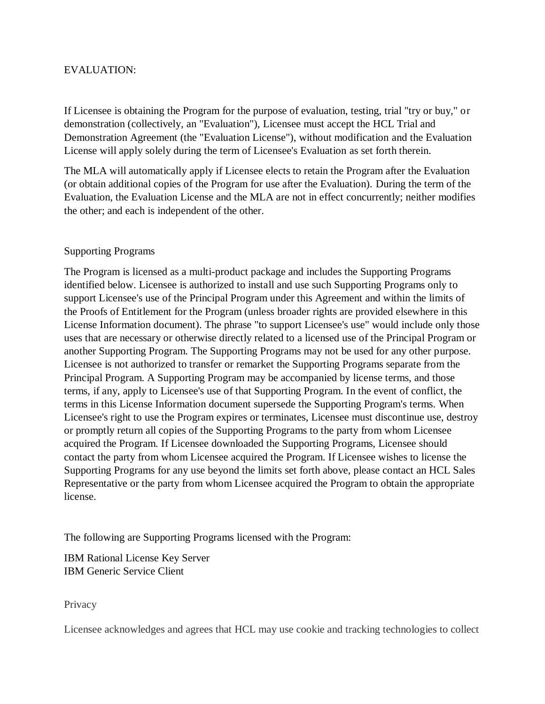#### EVALUATION:

If Licensee is obtaining the Program for the purpose of evaluation, testing, trial "try or buy," or demonstration (collectively, an "Evaluation"), Licensee must accept the HCL Trial and Demonstration Agreement (the "Evaluation License"), without modification and the Evaluation License will apply solely during the term of Licensee's Evaluation as set forth therein.

The MLA will automatically apply if Licensee elects to retain the Program after the Evaluation (or obtain additional copies of the Program for use after the Evaluation). During the term of the Evaluation, the Evaluation License and the MLA are not in effect concurrently; neither modifies the other; and each is independent of the other.

### Supporting Programs

The Program is licensed as a multi-product package and includes the Supporting Programs identified below. Licensee is authorized to install and use such Supporting Programs only to support Licensee's use of the Principal Program under this Agreement and within the limits of the Proofs of Entitlement for the Program (unless broader rights are provided elsewhere in this License Information document). The phrase "to support Licensee's use" would include only those uses that are necessary or otherwise directly related to a licensed use of the Principal Program or another Supporting Program. The Supporting Programs may not be used for any other purpose. Licensee is not authorized to transfer or remarket the Supporting Programs separate from the Principal Program. A Supporting Program may be accompanied by license terms, and those terms, if any, apply to Licensee's use of that Supporting Program. In the event of conflict, the terms in this License Information document supersede the Supporting Program's terms. When Licensee's right to use the Program expires or terminates, Licensee must discontinue use, destroy or promptly return all copies of the Supporting Programs to the party from whom Licensee acquired the Program. If Licensee downloaded the Supporting Programs, Licensee should contact the party from whom Licensee acquired the Program. If Licensee wishes to license the Supporting Programs for any use beyond the limits set forth above, please contact an HCL Sales Representative or the party from whom Licensee acquired the Program to obtain the appropriate license.

The following are Supporting Programs licensed with the Program:

IBM Rational License Key Server IBM Generic Service Client

**Privacy** 

Licensee acknowledges and agrees that HCL may use cookie and tracking technologies to collect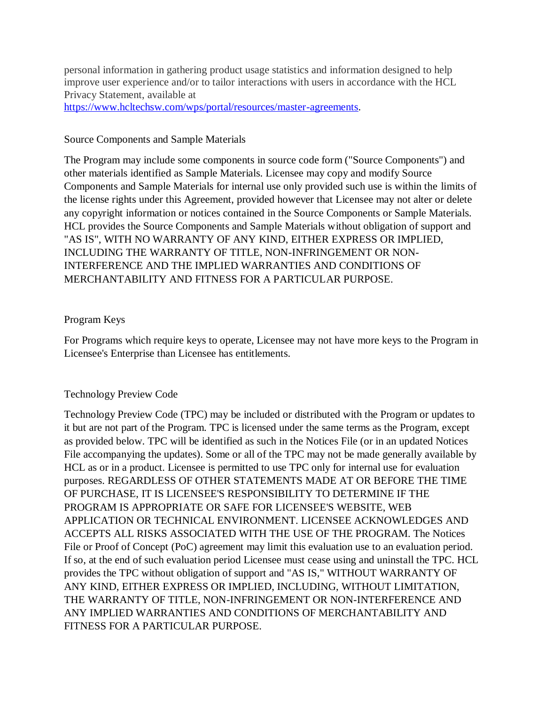personal information in gathering product usage statistics and information designed to help improve user experience and/or to tailor interactions with users in accordance with the HCL Privacy Statement, available at [https://www.hcltechsw.com/wps/portal/resources/master-agreements.](https://www.hcltechsw.com/wps/portal/resources/master-agreements)

#### Source Components and Sample Materials

The Program may include some components in source code form ("Source Components") and other materials identified as Sample Materials. Licensee may copy and modify Source Components and Sample Materials for internal use only provided such use is within the limits of the license rights under this Agreement, provided however that Licensee may not alter or delete any copyright information or notices contained in the Source Components or Sample Materials. HCL provides the Source Components and Sample Materials without obligation of support and "AS IS", WITH NO WARRANTY OF ANY KIND, EITHER EXPRESS OR IMPLIED, INCLUDING THE WARRANTY OF TITLE, NON-INFRINGEMENT OR NON-INTERFERENCE AND THE IMPLIED WARRANTIES AND CONDITIONS OF MERCHANTABILITY AND FITNESS FOR A PARTICULAR PURPOSE.

#### Program Keys

For Programs which require keys to operate, Licensee may not have more keys to the Program in Licensee's Enterprise than Licensee has entitlements.

#### Technology Preview Code

Technology Preview Code (TPC) may be included or distributed with the Program or updates to it but are not part of the Program. TPC is licensed under the same terms as the Program, except as provided below. TPC will be identified as such in the Notices File (or in an updated Notices File accompanying the updates). Some or all of the TPC may not be made generally available by HCL as or in a product. Licensee is permitted to use TPC only for internal use for evaluation purposes. REGARDLESS OF OTHER STATEMENTS MADE AT OR BEFORE THE TIME OF PURCHASE, IT IS LICENSEE'S RESPONSIBILITY TO DETERMINE IF THE PROGRAM IS APPROPRIATE OR SAFE FOR LICENSEE'S WEBSITE, WEB APPLICATION OR TECHNICAL ENVIRONMENT. LICENSEE ACKNOWLEDGES AND ACCEPTS ALL RISKS ASSOCIATED WITH THE USE OF THE PROGRAM. The Notices File or Proof of Concept (PoC) agreement may limit this evaluation use to an evaluation period. If so, at the end of such evaluation period Licensee must cease using and uninstall the TPC. HCL provides the TPC without obligation of support and "AS IS," WITHOUT WARRANTY OF ANY KIND, EITHER EXPRESS OR IMPLIED, INCLUDING, WITHOUT LIMITATION, THE WARRANTY OF TITLE, NON-INFRINGEMENT OR NON-INTERFERENCE AND ANY IMPLIED WARRANTIES AND CONDITIONS OF MERCHANTABILITY AND FITNESS FOR A PARTICULAR PURPOSE.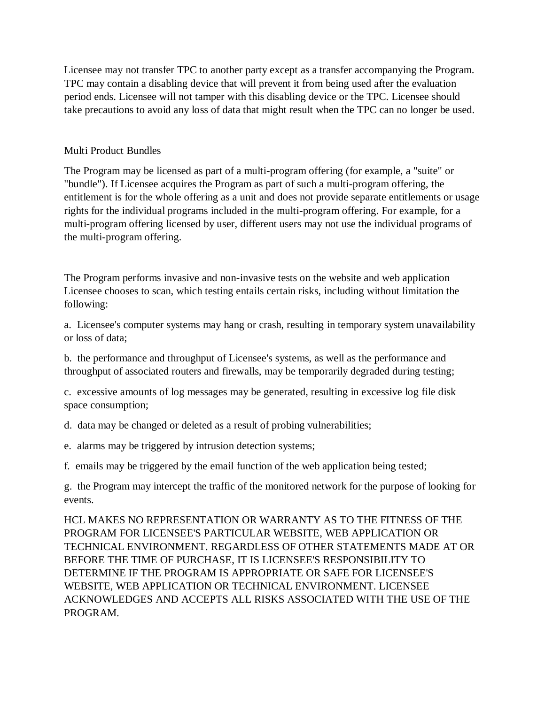Licensee may not transfer TPC to another party except as a transfer accompanying the Program. TPC may contain a disabling device that will prevent it from being used after the evaluation period ends. Licensee will not tamper with this disabling device or the TPC. Licensee should take precautions to avoid any loss of data that might result when the TPC can no longer be used.

#### Multi Product Bundles

The Program may be licensed as part of a multi-program offering (for example, a "suite" or "bundle"). If Licensee acquires the Program as part of such a multi-program offering, the entitlement is for the whole offering as a unit and does not provide separate entitlements or usage rights for the individual programs included in the multi-program offering. For example, for a multi-program offering licensed by user, different users may not use the individual programs of the multi-program offering.

The Program performs invasive and non-invasive tests on the website and web application Licensee chooses to scan, which testing entails certain risks, including without limitation the following:

a. Licensee's computer systems may hang or crash, resulting in temporary system unavailability or loss of data;

b. the performance and throughput of Licensee's systems, as well as the performance and throughput of associated routers and firewalls, may be temporarily degraded during testing;

c. excessive amounts of log messages may be generated, resulting in excessive log file disk space consumption;

d. data may be changed or deleted as a result of probing vulnerabilities;

e. alarms may be triggered by intrusion detection systems;

f. emails may be triggered by the email function of the web application being tested;

g. the Program may intercept the traffic of the monitored network for the purpose of looking for events.

HCL MAKES NO REPRESENTATION OR WARRANTY AS TO THE FITNESS OF THE PROGRAM FOR LICENSEE'S PARTICULAR WEBSITE, WEB APPLICATION OR TECHNICAL ENVIRONMENT. REGARDLESS OF OTHER STATEMENTS MADE AT OR BEFORE THE TIME OF PURCHASE, IT IS LICENSEE'S RESPONSIBILITY TO DETERMINE IF THE PROGRAM IS APPROPRIATE OR SAFE FOR LICENSEE'S WEBSITE, WEB APPLICATION OR TECHNICAL ENVIRONMENT. LICENSEE ACKNOWLEDGES AND ACCEPTS ALL RISKS ASSOCIATED WITH THE USE OF THE PROGRAM.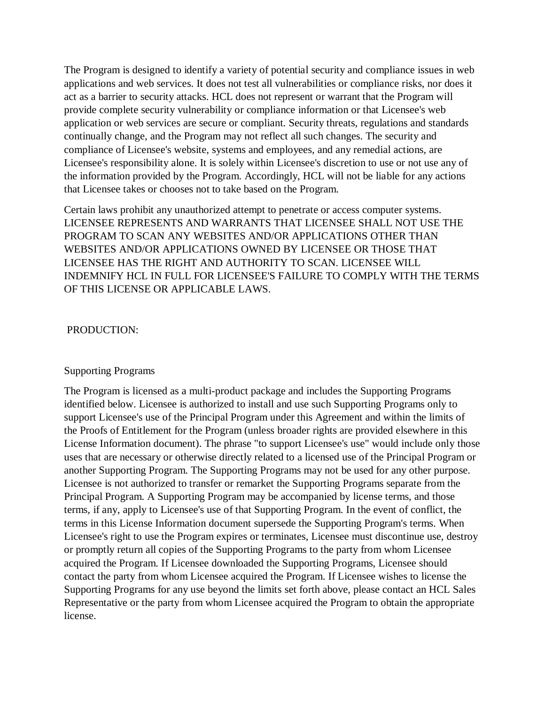The Program is designed to identify a variety of potential security and compliance issues in web applications and web services. It does not test all vulnerabilities or compliance risks, nor does it act as a barrier to security attacks. HCL does not represent or warrant that the Program will provide complete security vulnerability or compliance information or that Licensee's web application or web services are secure or compliant. Security threats, regulations and standards continually change, and the Program may not reflect all such changes. The security and compliance of Licensee's website, systems and employees, and any remedial actions, are Licensee's responsibility alone. It is solely within Licensee's discretion to use or not use any of the information provided by the Program. Accordingly, HCL will not be liable for any actions that Licensee takes or chooses not to take based on the Program.

Certain laws prohibit any unauthorized attempt to penetrate or access computer systems. LICENSEE REPRESENTS AND WARRANTS THAT LICENSEE SHALL NOT USE THE PROGRAM TO SCAN ANY WEBSITES AND/OR APPLICATIONS OTHER THAN WEBSITES AND/OR APPLICATIONS OWNED BY LICENSEE OR THOSE THAT LICENSEE HAS THE RIGHT AND AUTHORITY TO SCAN. LICENSEE WILL INDEMNIFY HCL IN FULL FOR LICENSEE'S FAILURE TO COMPLY WITH THE TERMS OF THIS LICENSE OR APPLICABLE LAWS.

#### PRODUCTION:

#### Supporting Programs

The Program is licensed as a multi-product package and includes the Supporting Programs identified below. Licensee is authorized to install and use such Supporting Programs only to support Licensee's use of the Principal Program under this Agreement and within the limits of the Proofs of Entitlement for the Program (unless broader rights are provided elsewhere in this License Information document). The phrase "to support Licensee's use" would include only those uses that are necessary or otherwise directly related to a licensed use of the Principal Program or another Supporting Program. The Supporting Programs may not be used for any other purpose. Licensee is not authorized to transfer or remarket the Supporting Programs separate from the Principal Program. A Supporting Program may be accompanied by license terms, and those terms, if any, apply to Licensee's use of that Supporting Program. In the event of conflict, the terms in this License Information document supersede the Supporting Program's terms. When Licensee's right to use the Program expires or terminates, Licensee must discontinue use, destroy or promptly return all copies of the Supporting Programs to the party from whom Licensee acquired the Program. If Licensee downloaded the Supporting Programs, Licensee should contact the party from whom Licensee acquired the Program. If Licensee wishes to license the Supporting Programs for any use beyond the limits set forth above, please contact an HCL Sales Representative or the party from whom Licensee acquired the Program to obtain the appropriate license.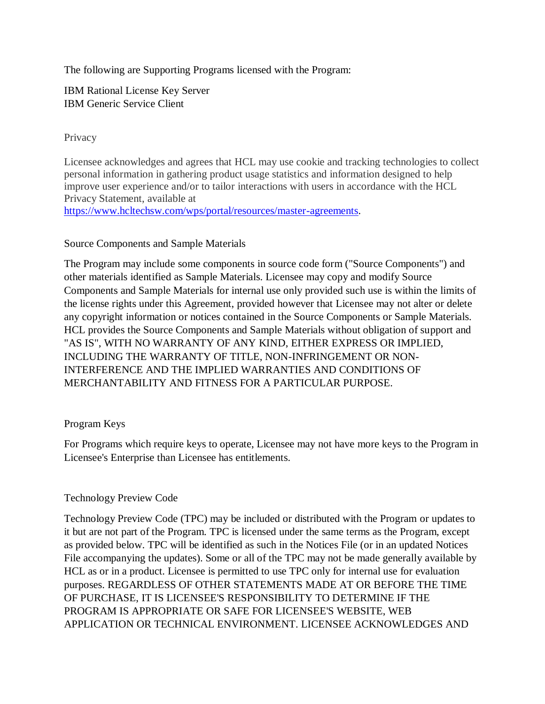The following are Supporting Programs licensed with the Program:

IBM Rational License Key Server IBM Generic Service Client

#### **Privacy**

Licensee acknowledges and agrees that HCL may use cookie and tracking technologies to collect personal information in gathering product usage statistics and information designed to help improve user experience and/or to tailor interactions with users in accordance with the HCL Privacy Statement, available at [https://www.hcltechsw.com/wps/portal/resources/master-agreements.](https://www.hcltechsw.com/wps/portal/resources/master-agreements)

# Source Components and Sample Materials

The Program may include some components in source code form ("Source Components") and other materials identified as Sample Materials. Licensee may copy and modify Source Components and Sample Materials for internal use only provided such use is within the limits of the license rights under this Agreement, provided however that Licensee may not alter or delete any copyright information or notices contained in the Source Components or Sample Materials. HCL provides the Source Components and Sample Materials without obligation of support and "AS IS", WITH NO WARRANTY OF ANY KIND, EITHER EXPRESS OR IMPLIED, INCLUDING THE WARRANTY OF TITLE, NON-INFRINGEMENT OR NON-INTERFERENCE AND THE IMPLIED WARRANTIES AND CONDITIONS OF MERCHANTABILITY AND FITNESS FOR A PARTICULAR PURPOSE.

## Program Keys

For Programs which require keys to operate, Licensee may not have more keys to the Program in Licensee's Enterprise than Licensee has entitlements.

## Technology Preview Code

Technology Preview Code (TPC) may be included or distributed with the Program or updates to it but are not part of the Program. TPC is licensed under the same terms as the Program, except as provided below. TPC will be identified as such in the Notices File (or in an updated Notices File accompanying the updates). Some or all of the TPC may not be made generally available by HCL as or in a product. Licensee is permitted to use TPC only for internal use for evaluation purposes. REGARDLESS OF OTHER STATEMENTS MADE AT OR BEFORE THE TIME OF PURCHASE, IT IS LICENSEE'S RESPONSIBILITY TO DETERMINE IF THE PROGRAM IS APPROPRIATE OR SAFE FOR LICENSEE'S WEBSITE, WEB APPLICATION OR TECHNICAL ENVIRONMENT. LICENSEE ACKNOWLEDGES AND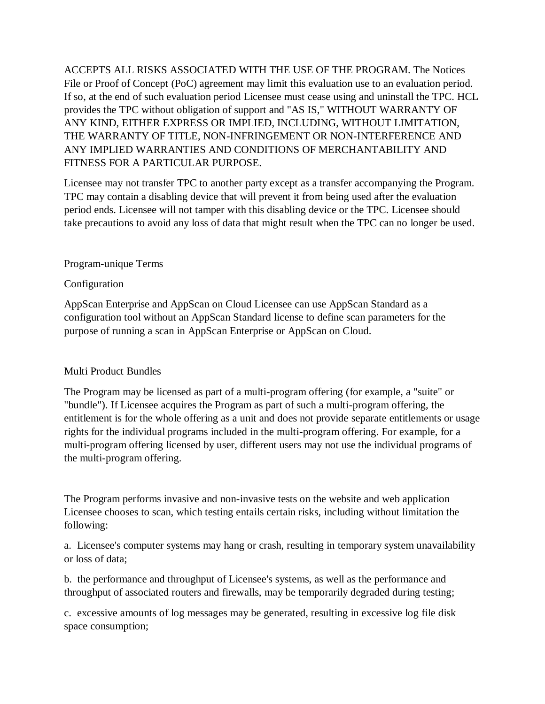ACCEPTS ALL RISKS ASSOCIATED WITH THE USE OF THE PROGRAM. The Notices File or Proof of Concept (PoC) agreement may limit this evaluation use to an evaluation period. If so, at the end of such evaluation period Licensee must cease using and uninstall the TPC. HCL provides the TPC without obligation of support and "AS IS," WITHOUT WARRANTY OF ANY KIND, EITHER EXPRESS OR IMPLIED, INCLUDING, WITHOUT LIMITATION, THE WARRANTY OF TITLE, NON-INFRINGEMENT OR NON-INTERFERENCE AND ANY IMPLIED WARRANTIES AND CONDITIONS OF MERCHANTABILITY AND FITNESS FOR A PARTICULAR PURPOSE.

Licensee may not transfer TPC to another party except as a transfer accompanying the Program. TPC may contain a disabling device that will prevent it from being used after the evaluation period ends. Licensee will not tamper with this disabling device or the TPC. Licensee should take precautions to avoid any loss of data that might result when the TPC can no longer be used.

### Program-unique Terms

### Configuration

AppScan Enterprise and AppScan on Cloud Licensee can use AppScan Standard as a configuration tool without an AppScan Standard license to define scan parameters for the purpose of running a scan in AppScan Enterprise or AppScan on Cloud.

#### Multi Product Bundles

The Program may be licensed as part of a multi-program offering (for example, a "suite" or "bundle"). If Licensee acquires the Program as part of such a multi-program offering, the entitlement is for the whole offering as a unit and does not provide separate entitlements or usage rights for the individual programs included in the multi-program offering. For example, for a multi-program offering licensed by user, different users may not use the individual programs of the multi-program offering.

The Program performs invasive and non-invasive tests on the website and web application Licensee chooses to scan, which testing entails certain risks, including without limitation the following:

a. Licensee's computer systems may hang or crash, resulting in temporary system unavailability or loss of data;

b. the performance and throughput of Licensee's systems, as well as the performance and throughput of associated routers and firewalls, may be temporarily degraded during testing;

c. excessive amounts of log messages may be generated, resulting in excessive log file disk space consumption;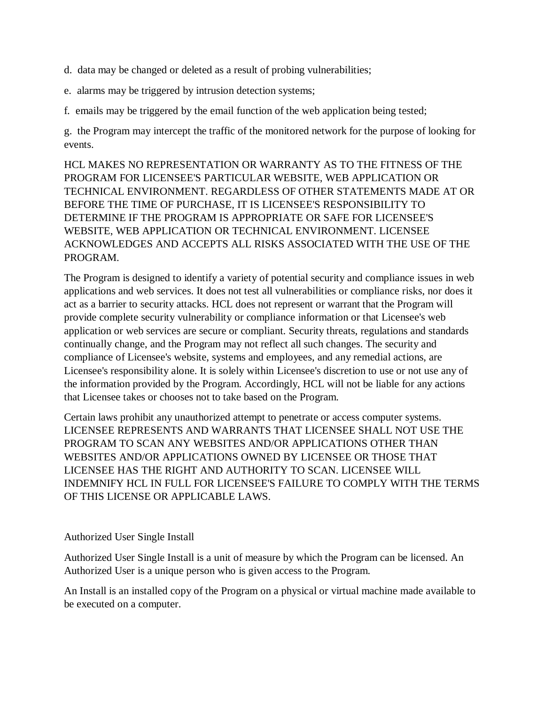d. data may be changed or deleted as a result of probing vulnerabilities;

e. alarms may be triggered by intrusion detection systems;

f. emails may be triggered by the email function of the web application being tested;

g. the Program may intercept the traffic of the monitored network for the purpose of looking for events.

HCL MAKES NO REPRESENTATION OR WARRANTY AS TO THE FITNESS OF THE PROGRAM FOR LICENSEE'S PARTICULAR WEBSITE, WEB APPLICATION OR TECHNICAL ENVIRONMENT. REGARDLESS OF OTHER STATEMENTS MADE AT OR BEFORE THE TIME OF PURCHASE, IT IS LICENSEE'S RESPONSIBILITY TO DETERMINE IF THE PROGRAM IS APPROPRIATE OR SAFE FOR LICENSEE'S WEBSITE, WEB APPLICATION OR TECHNICAL ENVIRONMENT. LICENSEE ACKNOWLEDGES AND ACCEPTS ALL RISKS ASSOCIATED WITH THE USE OF THE PROGRAM.

The Program is designed to identify a variety of potential security and compliance issues in web applications and web services. It does not test all vulnerabilities or compliance risks, nor does it act as a barrier to security attacks. HCL does not represent or warrant that the Program will provide complete security vulnerability or compliance information or that Licensee's web application or web services are secure or compliant. Security threats, regulations and standards continually change, and the Program may not reflect all such changes. The security and compliance of Licensee's website, systems and employees, and any remedial actions, are Licensee's responsibility alone. It is solely within Licensee's discretion to use or not use any of the information provided by the Program. Accordingly, HCL will not be liable for any actions that Licensee takes or chooses not to take based on the Program.

Certain laws prohibit any unauthorized attempt to penetrate or access computer systems. LICENSEE REPRESENTS AND WARRANTS THAT LICENSEE SHALL NOT USE THE PROGRAM TO SCAN ANY WEBSITES AND/OR APPLICATIONS OTHER THAN WEBSITES AND/OR APPLICATIONS OWNED BY LICENSEE OR THOSE THAT LICENSEE HAS THE RIGHT AND AUTHORITY TO SCAN. LICENSEE WILL INDEMNIFY HCL IN FULL FOR LICENSEE'S FAILURE TO COMPLY WITH THE TERMS OF THIS LICENSE OR APPLICABLE LAWS.

## Authorized User Single Install

Authorized User Single Install is a unit of measure by which the Program can be licensed. An Authorized User is a unique person who is given access to the Program.

An Install is an installed copy of the Program on a physical or virtual machine made available to be executed on a computer.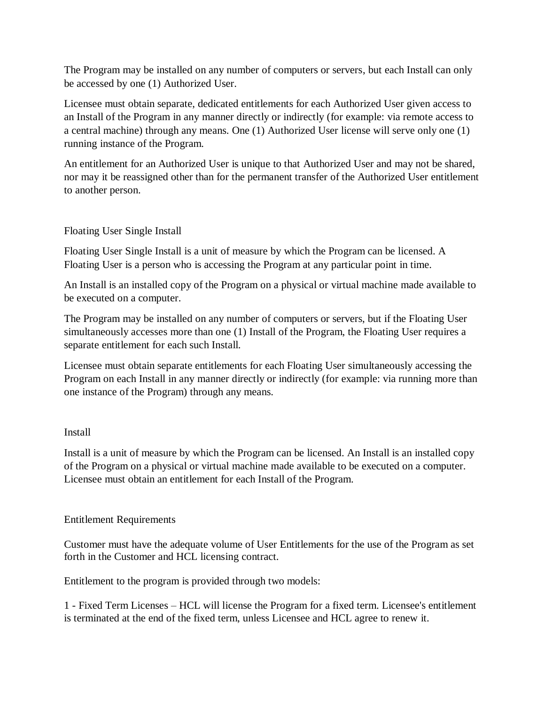The Program may be installed on any number of computers or servers, but each Install can only be accessed by one (1) Authorized User.

Licensee must obtain separate, dedicated entitlements for each Authorized User given access to an Install of the Program in any manner directly or indirectly (for example: via remote access to a central machine) through any means. One (1) Authorized User license will serve only one (1) running instance of the Program.

An entitlement for an Authorized User is unique to that Authorized User and may not be shared, nor may it be reassigned other than for the permanent transfer of the Authorized User entitlement to another person.

## Floating User Single Install

Floating User Single Install is a unit of measure by which the Program can be licensed. A Floating User is a person who is accessing the Program at any particular point in time.

An Install is an installed copy of the Program on a physical or virtual machine made available to be executed on a computer.

The Program may be installed on any number of computers or servers, but if the Floating User simultaneously accesses more than one (1) Install of the Program, the Floating User requires a separate entitlement for each such Install.

Licensee must obtain separate entitlements for each Floating User simultaneously accessing the Program on each Install in any manner directly or indirectly (for example: via running more than one instance of the Program) through any means.

## Install

Install is a unit of measure by which the Program can be licensed. An Install is an installed copy of the Program on a physical or virtual machine made available to be executed on a computer. Licensee must obtain an entitlement for each Install of the Program.

## Entitlement Requirements

Customer must have the adequate volume of User Entitlements for the use of the Program as set forth in the Customer and HCL licensing contract.

Entitlement to the program is provided through two models:

1 - Fixed Term Licenses – HCL will license the Program for a fixed term. Licensee's entitlement is terminated at the end of the fixed term, unless Licensee and HCL agree to renew it.